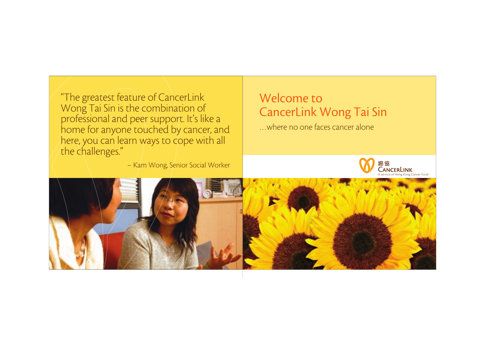"The greatest feature of CancerLink Wong Tai Sin is the combination of professional and peer support. It's like a home for anyone touched by cancer, and here, you can learn ways to cope with all the challenges."

– Kam Wong, Senior Social Worker

Welcome to CancerLink Wong Tai Sin

…where no one faces cancer alone

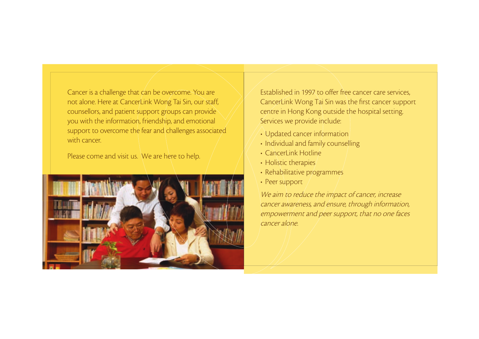Cancer is a challenge that can be overcome. You are not alone. Here at CancerLink Wong Tai Sin, our staff, counsellors, and patient support groups can provide you with the information, friendship, and emotional support to overcome the fear and challenges associated with cancer

Please come and visit us. We are here to help.



Established in 1997 to offer free cancer care services, CancerLink Wong Tai Sin was the first cancer support centre in Hong Kong outside the hospital setting. Services we provide include:

- Updated cancer information
- Individual and family counselling
- Cancerl ink Hotline
- Holistic therapies
- Rehabilitative programmes
- Peer support

We aim to reduce the impact of cancer, increase cancer awareness, and ensure, through information, empowerment and peer support, that no one faces cancer alone.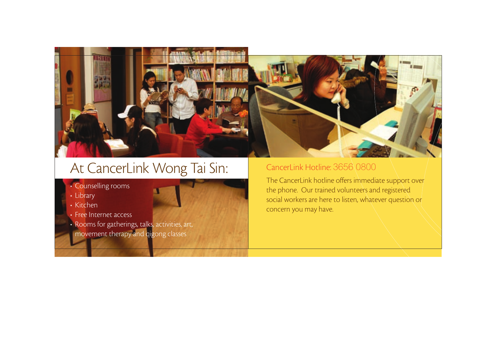

## At CancerLink Wong Tai Sin: CancerLink Hotline: 3656\0800

- Counselling rooms
- Library
- Kitchen
- Free Internet access
- Rooms for gatherings, talks, activities, art, movement therapy and qigong classes

The CancerLink hotline offers immediate support over the phone. Our trained volunteers and registered social workers are here to listen, whatever question or concern you may have.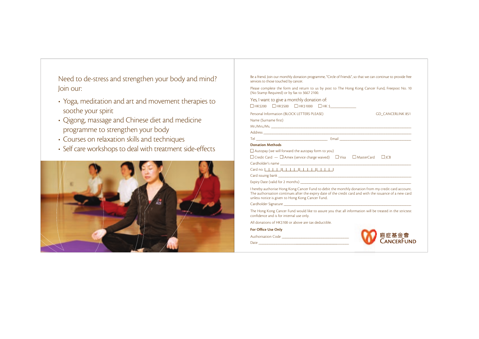Need to de-stress and strengthen your body and mind? Join our:

- Yoga, meditation and art and movement therapies to soothe your spirit
- Qigong, massage and Chinese diet and medicine programme to strengthen your body
- Courses on relaxation skills and techniques
- Self care workshops to deal with treatment side-effects



Be a friend. Join our monthly donation programme, "Circle of Friends", so that we can continue to provide free services to those touched by cancer.

Please complete the form and return to us by post to The Hong Kong Cancer Fund, Freepost No. 10 (No Stamp Required) or by fax to 3667 2100.

Yes, I want to give a monthly donation of:  $\square$ HK\$200  $\square$ HK\$500  $\square$ HK\$1000  $\square$ HK\$ Personal Information (BLOCK LETTERS PLEASE) GD\_CANCERLINK 851 Name (Surname first) Mr./Mrs./Ms. \_\_\_\_\_\_\_\_\_\_\_\_\_\_\_\_\_\_\_\_\_\_\_\_\_\_\_\_\_\_\_\_\_\_\_\_\_\_\_\_\_\_\_\_\_\_\_\_\_\_\_\_\_\_\_\_\_\_\_\_\_\_\_\_\_\_\_\_\_\_\_\_\_\_\_\_\_\_\_ Address  $\overline{A}$ Tel \_\_\_\_\_\_\_\_\_\_\_\_\_\_\_\_\_\_\_\_\_\_\_\_\_\_\_\_\_\_\_\_\_\_\_\_\_\_\_\_ Email \_\_\_\_\_\_\_\_\_\_\_\_\_\_\_\_\_\_\_\_\_\_\_\_\_\_\_\_\_\_\_\_\_\_\_\_\_\_\_\_ Donation Methods  $\Box$  Autopay (we will forward the autopay form to you)  $\Box$  Credit Card  $\Box$  Amex (service charge waived)  $\Box$  Visa  $\Box$  MasterCard  $\Box$  JCB Cardholder's name Card no.  $Card$  issuing bank  $\qquad \qquad \qquad$ Expiry Date (valid for 2 months)

I hereby authorise Hong Kong Cancer Fund to debit the monthly donation from my credit card account. The authorisation continues after the expiry date of the credit card and with the issuance of a new card unless notice is given to Hong Kong Cancer Fund.

Cardholder Signature \_\_\_\_\_\_\_\_\_\_\_\_\_\_\_\_\_\_\_\_\_\_\_\_\_\_\_\_\_\_\_\_\_\_\_\_\_\_\_\_\_\_\_\_\_\_\_\_\_\_\_\_\_\_\_\_\_\_\_\_\_\_\_\_\_\_\_\_\_\_\_\_

The Hong Kong Cancer Fund would like to assure you that all information will be treated in the strictest confidence and is for internal use only.

All donations of HK\$100 or above are tax deductible.

For Office Use Only

Authorisation Code

Date \_\_\_\_\_\_\_\_\_\_\_\_\_\_\_\_\_\_\_\_\_\_\_\_\_\_\_\_\_\_\_\_\_\_\_\_\_\_\_\_\_\_\_\_\_\_\_\_\_\_\_\_\_\_\_\_

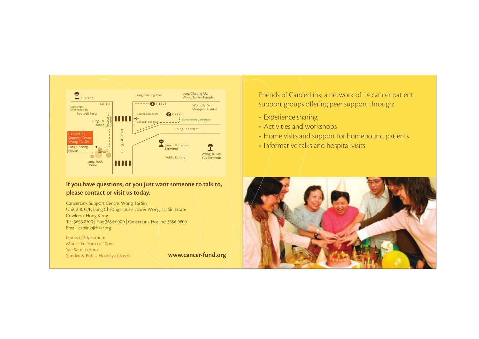

## If you have questions, or you just want someone to talk to, please contact or visit us today.

CancerLink Support Centre, Wong Tai Sin Unit 2-8, G/F, Lung Cheong House, Lower Wong Tai Sin Estate Kowloon, Hong Kong Tel: 3656 0700 | Fax: 3656 0900 | CancerLink Hotline: 3656 0800 Email: canlink@hkcf.org

Hours of Operation: Mon – Fri: 9am to 10pm Sat: 9am to 6pm Sunday & Public Holidays: Closed Wave Works Wave Cancer-fund.org

Friends of CancerLink, a network of 14 cancer patient support groups offering peer support through:

- Experience sharing
- Activities and workshops
- Home visits and support for homebound patients
- Informative talks and hospital visits